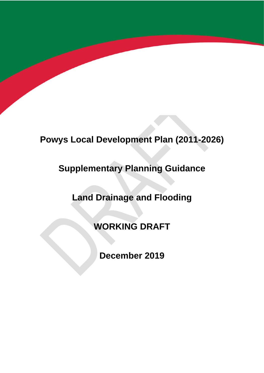# **Powys Local Development Plan (2011-2026)**

# **Supplementary Planning Guidance**

# **Land Drainage and Flooding**

**WORKING DRAFT**

**December 2019**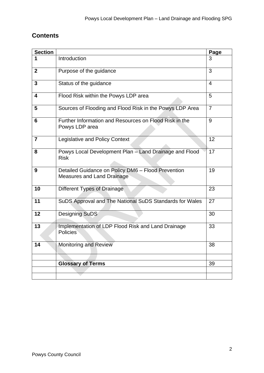# **Contents**

| <b>Section</b> |                                                                                         | Page           |
|----------------|-----------------------------------------------------------------------------------------|----------------|
|                | Introduction                                                                            | 3              |
| $\overline{2}$ | Purpose of the guidance                                                                 | 3              |
| 3              | Status of the guidance                                                                  | $\overline{4}$ |
| 4              | Flood Risk within the Powys LDP area                                                    | 5              |
| 5              | Sources of Flooding and Flood Risk in the Powys LDP Area                                | $\overline{7}$ |
| 6              | Further Information and Resources on Flood Risk in the<br>Powys LDP area                | 9              |
| $\overline{7}$ | <b>Legislative and Policy Context</b>                                                   | 12             |
| 8              | Powys Local Development Plan - Land Drainage and Flood<br><b>Risk</b>                   | 17             |
| 9              | Detailed Guidance on Policy DM6 - Flood Prevention<br><b>Measures and Land Drainage</b> | 19             |
| 10             | Different Types of Drainage                                                             | 23             |
| 11             | SuDS Approval and The National SuDS Standards for Wales                                 | 27             |
| 12             | <b>Designing SuDS</b>                                                                   | 30             |
| 13             | Implementation of LDP Flood Risk and Land Drainage<br><b>Policies</b>                   | 33             |
| 14             | <b>Monitoring and Review</b>                                                            | 38             |
|                |                                                                                         |                |
|                | <b>Glossary of Terms</b>                                                                | 39             |
|                |                                                                                         |                |
|                |                                                                                         |                |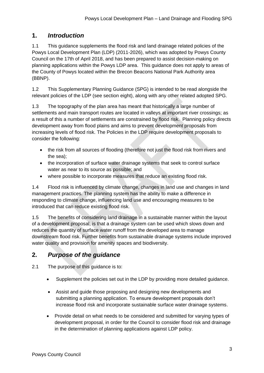## **1.** *Introduction*

1.1 This guidance supplements the flood risk and land drainage related policies of the Powys Local Development Plan (LDP) (2011-2026), which was adopted by Powys County Council on the 17th of April 2018, and has been prepared to assist decision-making on planning applications within the Powys LDP area. This guidance does not apply to areas of the County of Powys located within the Brecon Beacons National Park Authority area (BBNP).

1.2 This Supplementary Planning Guidance (SPG) is intended to be read alongside the relevant policies of the LDP (see section eight), along with any other related adopted SPG.

1.3 The topography of the plan area has meant that historically a large number of settlements and main transport routes are located in valleys at important river crossings; as a result of this a number of settlements are constrained by flood risk. Planning policy directs development away from flood plains and aims to prevent development proposals from increasing levels of flood risk. The Policies in the LDP require development proposals to consider the following:

- the risk from all sources of flooding (therefore not just the flood risk from rivers and the sea);
- the incorporation of surface water drainage systems that seek to control surface water as near to its source as possible; and
- where possible to incorporate measures that reduce an existing flood risk.

1.4 Flood risk is influenced by climate change, changes in land use and changes in land management practices. The planning system has the ability to make a difference in responding to climate change, influencing land use and encouraging measures to be introduced that can reduce existing flood risk.

1.5 The benefits of considering land drainage in a sustainable manner within the layout of a development proposal, is that a drainage system can be used which slows down and reduces the quantity of surface water runoff from the developed area to manage downstream flood risk. Further benefits from sustainable drainage systems include improved water quality and provision for amenity spaces and biodiversity.

# **2.** *Purpose of the guidance*

2.1 The purpose of this guidance is to:

- Supplement the policies set out in the LDP by providing more detailed guidance.
- Assist and guide those proposing and designing new developments and submitting a planning application. To ensure development proposals don't increase flood risk and incorporate sustainable surface water drainage systems.
- Provide detail on what needs to be considered and submitted for varying types of development proposal, in order for the Council to consider flood risk and drainage in the determination of planning applications against LDP policy.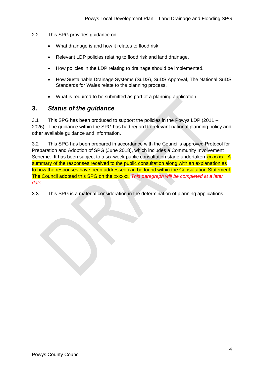- 2.2 This SPG provides guidance on:
	- What drainage is and how it relates to flood risk.
	- Relevant LDP policies relating to flood risk and land drainage.
	- How policies in the LDP relating to drainage should be implemented.
	- How Sustainable Drainage Systems (SuDS), SuDS Approval, The National SuDS Standards for Wales relate to the planning process.
	- What is required to be submitted as part of a planning application.

## **3.** *Status of the guidance*

3.1 This SPG has been produced to support the policies in the Powys LDP (2011 – 2026). The guidance within the SPG has had regard to relevant national planning policy and other available guidance and information.

3.2 This SPG has been prepared in accordance with the Council's approved Protocol for Preparation and Adoption of SPG (June 2018), which includes a Community Involvement Scheme. It has been subject to a six-week public consultation stage undertaken **xxxxxxx.** A summary of the responses received to the public consultation along with an explanation as to how the responses have been addressed can be found within the Consultation Statement. The Council adopted this SPG on the xxxxxx*. This paragraph will be completed at a later date.*

3.3 This SPG is a material consideration in the determination of planning applications.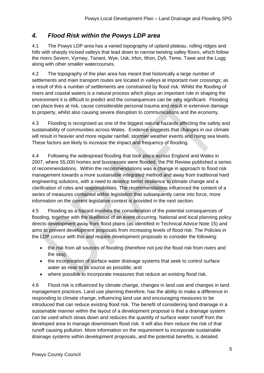# *4. Flood Risk within the Powys LDP area*

4.1 The Powys LDP area has a varied topography of upland plateau, rolling ridges and hills with sharply incised valleys that lead down to narrow twisting valley floors, which follow the rivers Severn, Vyrnwy, Tanant, Wye, Usk, Irfon, Ithon, Dyfi, Teme, Tawe and the Lugg along with other smaller watercourses.

4.2 The topography of the plan area has meant that historically a large number of settlements and main transport routes are located in valleys at important river crossings; as a result of this a number of settlements are constrained by flood risk. Whilst the flooding of rivers and coastal waters is a natural process which plays an important role in shaping the environment it is difficult to predict and the consequences can be very significant. Flooding can place lives at risk, cause considerable personal trauma and result in extensive damage to property, whilst also causing severe disruption to communications and the economy.

4.3 Flooding is recognised as one of the biggest natural hazards affecting the safety and sustainability of communities across Wales. Evidence suggests that changes in our climate will result in heavier and more regular rainfall, stormier weather events and rising sea levels. These factors are likely to increase the impact and frequency of flooding.

4.4 Following the widespread flooding that took place across England and Wales in 2007, where 55,000 homes and businesses were flooded, the Pitt Review published a series of recommendations. Within the recommendations was a change in approach to flood risk management towards a more sustainable integrated method and away from traditional hard engineering solutions, with a need to develop better resilience to climate change and a clarification of roles and responsibilities. The recommendations influenced the content of a series of measures contained within legislation that subsequently came into force, more information on the current legislative context is provided in the next section.

4.5 Flooding as a hazard involves the consideration of the potential consequences of flooding, together with the likelihood of an event occurring. National and local planning policy directs development away from flood plains (as identified in Technical Advice Note 15) and aims to prevent development proposals from increasing levels of flood risk. The Policies in the LDP concur with this and require development proposals to consider the following:

- the risk from all sources of flooding (therefore not just the flood risk from rivers and the sea);
- the incorporation of surface water drainage systems that seek to control surface water as near to its source as possible; and
- where possible to incorporate measures that reduce an existing flood risk.

4.6 Flood risk is influenced by climate change, changes in land use and changes in land management practices. Land use planning therefore, has the ability to make a difference in responding to climate change, influencing land use and encouraging measures to be introduced that can reduce existing flood risk. The benefit of considering land drainage in a sustainable manner within the layout of a development proposal is that a drainage system can be used which slows down and reduces the quantity of surface water runoff from the developed area to manage downstream flood risk. It will also then reduce the risk of that runoff causing pollution. More information on the requirement to incorporate sustainable drainage systems within development proposals, and the potential benefits, is detailed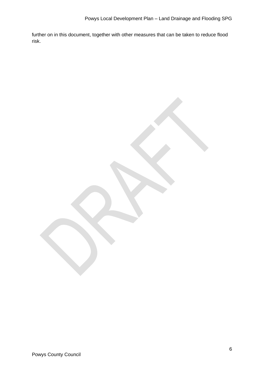further on in this document, together with other measures that can be taken to reduce flood risk.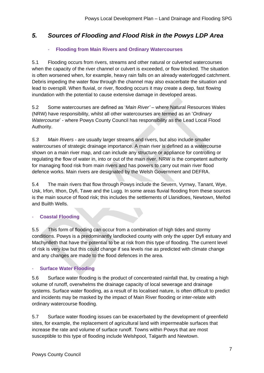# *5. Sources of Flooding and Flood Risk in the Powys LDP Area*

### - **Flooding from Main Rivers and Ordinary Watercourses**

5.1 Flooding occurs from rivers, streams and other natural or culverted watercourses when the capacity of the river channel or culvert is exceeded, or flow blocked. The situation is often worsened when, for example, heavy rain falls on an already waterlogged catchment. Debris impeding the water flow through the channel may also exacerbate the situation and lead to overspill. When fluvial, or river, flooding occurs it may create a deep, fast flowing inundation with the potential to cause extensive damage in developed areas.

5.2 Some watercourses are defined as '*Main River'* – where Natural Resources Wales (NRW) have responsibility, whilst all other watercourses are termed as an '*Ordinary Watercourse*' - where Powys County Council has responsibility as the Lead Local Flood Authority.

*5.3 Main Rivers* - are usually larger streams and rivers, but also include smaller watercourses of strategic drainage importance. A main river is defined as a watercourse shown on a main river map, and can include any structure or appliance for controlling or regulating the flow of water in, into or out of the main river. NRW is the competent authority for managing flood risk from main rivers and has powers to carry out main river flood defence works. Main rivers are designated by the Welsh Government and DEFRA.

5.4 The main rivers that flow through Powys include the Severn, Vyrnwy, Tanant, Wye, Usk, Irfon, Ithon, Dyfi, Tawe and the Lugg. In some areas fluvial flooding from these sources is the main source of flood risk; this includes the settlements of Llanidloes, Newtown, Meifod and Builth Wells.

### - **Coastal Flooding**

5.5 This form of flooding can occur from a combination of high tides and stormy conditions. Powys is a predominantly landlocked county with only the upper Dyfi estuary and Machynlleth that have the potential to be at risk from this type of flooding. The current level of risk is very low but this could change if sea levels rise as predicted with climate change and any changes are made to the flood defences in the area.

### **Surface Water Flooding**

5.6 Surface water flooding is the product of concentrated rainfall that, by creating a high volume of runoff, overwhelms the drainage capacity of local sewerage and drainage systems. Surface water flooding, as a result of its localised nature, is often difficult to predict and incidents may be masked by the impact of Main River flooding or inter-relate with ordinary watercourse flooding.

5.7 Surface water flooding issues can be exacerbated by the development of greenfield sites, for example, the replacement of agricultural land with impermeable surfaces that increase the rate and volume of surface runoff. Towns within Powys that are most susceptible to this type of flooding include Welshpool, Talgarth and Newtown.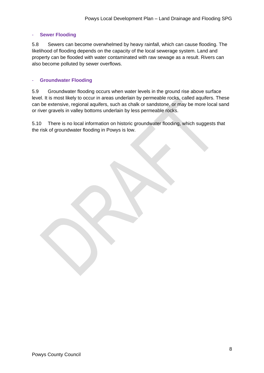#### - **Sewer Flooding**

5.8 Sewers can become overwhelmed by heavy rainfall, which can cause flooding. The likelihood of flooding depends on the capacity of the local sewerage system. Land and property can be flooded with water contaminated with raw sewage as a result. Rivers can also become polluted by sewer overflows.

#### - **Groundwater Flooding**

5.9 Groundwater flooding occurs when water levels in the ground rise above surface level. It is most likely to occur in areas underlain by permeable rocks, called aquifers. These can be extensive, regional aquifers, such as chalk or sandstone, or may be more local sand or river gravels in valley bottoms underlain by less permeable rocks.

5.10 There is no local information on historic groundwater flooding, which suggests that the risk of groundwater flooding in Powys is low.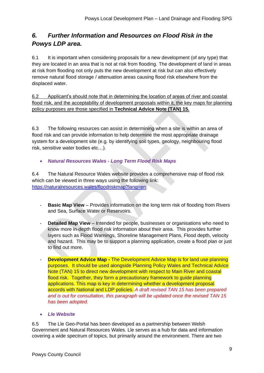# *6. Further Information and Resources on Flood Risk in the Powys LDP area.*

6.1 It is important when considering proposals for a new development (of any type) that they are located in an area that is not at risk from flooding. The development of land in areas at risk from flooding not only puts the new development at risk but can also effectively remove natural flood storage / attenuation areas causing flood risk elsewhere from the displaced water.

6.2 Applicant's should note that in determining the location of areas of river and coastal flood risk, and the acceptability of development proposals within it, the key maps for planning policy purposes are those specified in **Technical Advice Note (TAN) 15.**

6.3 The following resources can assist in determining when a site is within an area of flood risk and can provide information to help determine the most appropriate drainage system for a development site (e.g. by identifying soil types, geology, neighbouring flood risk, sensitive water bodies etc…).

• *Natural Resources Wales - Long Term Flood Risk Maps*

6.4 The Natural Resource Wales website provides a comprehensive map of flood risk which can be viewed in three ways using the following link: [https://naturalresources.wales/floodriskmap?lang=en:](https://naturalresources.wales/floodriskmap?lang=en)

- **Basic Map View** Provides information on the long term risk of flooding from Rivers and Sea, Surface Water or Reservoirs.
- **Detailed Map View** Intended for people, businesses or organisations who need to know more in-depth flood risk information about their area. This provides further layers such as Flood Warnings, Shoreline Management Plans, Flood depth, velocity and hazard. This may be to support a planning application, create a flood plan or just to find out more.
- **Development Advice Map -** The Development Advice Map is for land use planning purposes. It should be used alongside Planning Policy Wales and Technical Advice Note (TAN) 15 to direct new development with respect to Main River and coastal flood risk. Together, they form a precautionary framework to guide planning applications. This map is key in determining whether a development proposal accords with National and LDP policies. *A draft revised TAN 15 has been prepared and is out for consultation, this paragraph will be updated once the revised TAN 15 has been adopted.*
- *Lle Website*

6.5 The Lle Geo-Portal has been developed as a partnership between Welsh Government and Natural Resources Wales. Lle serves as a hub for data and information covering a wide spectrum of topics, but primarily around the environment. There are two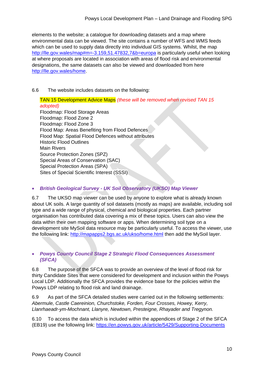elements to the website; a catalogue for downloading datasets and a map where environmental data can be viewed. The site contains a number of WFS and WMS feeds which can be used to supply data directly into individual GIS systems. Whilst, the map <http://lle.gov.wales/map#m=-3.159,51.47832,7&b=europa> is particularly useful when looking at where proposals are located in association with areas of flood risk and environmental designations, the same datasets can also be viewed and downloaded from here [http://lle.gov.wales/home.](http://lle.gov.wales/home)

#### 6.6 The website includes datasets on the following:

TAN 15 Development Advice Maps *(these will be removed when revised TAN 15 adopted)* Floodmap: Flood Storage Areas Floodmap: Flood Zone 2 Floodmap: Flood Zone 3 Flood Map: Areas Benefiting from Flood Defences Flood Map: Spatial Flood Defences without attributes Historic Flood Outlines Main Rivers Source Protection Zones (SPZ) Special Areas of Conservation (SAC) Special Protection Areas (SPA) Sites of Special Scientific Interest (SSSI)

## • *British Geological Survey - UK Soil Observatory (UKSO) Map Viewer*

6.7 The UKSO map viewer can be used by anyone to explore what is already known about UK soils. A large quantity of soil datasets (mostly as maps) are available, including soil type and a wide range of physical, chemical and biological properties. Each partner organisation has contributed data covering a mix of these topics. Users can also view the data within their own mapping software or apps. When determining soil type on a development site MySoil data resource may be particularly useful. To access the viewer, use the following link:<http://mapapps2.bgs.ac.uk/ukso/home.html> then add the MySoil layer.

### • *Powys County Council Stage 2 Strategic Flood Consequences Assessment (SFCA)*

6.8 The purpose of the SFCA was to provide an overview of the level of flood risk for thirty Candidate Sites that were considered for development and inclusion within the Powys Local LDP. Additionally the SFCA provides the evidence base for the policies within the Powys LDP relating to flood risk and land drainage.

6.9 As part of the SFCA detailed studies were carried out in the following settlements: *Abermule, Castle Caereinion, Churchstoke, Forden, Four Crosses, Howey, Kerry, Llanrhaeadr-ym-Mochnant, Llanyre, Newtown, Presteigne, Rhayader and Tregynon.*

6.10 To access the data which is included within the appendices of Stage 2 of the SFCA (EB19) use the following link:<https://en.powys.gov.uk/article/5429/Supporting-Documents>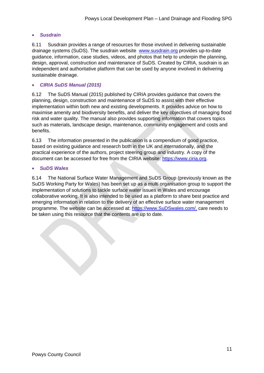#### • *Susdrain*

6.11 Susdrain provides a range of resources for those involved in delivering sustainable drainage systems (SuDS). The susdrain website [www.susdrain.org](http://www.susdrain.org/) provides up-to-date guidance, information, case studies, videos, and photos that help to underpin the planning, design, approval, construction and maintenance of SuDS. Created by CIRIA, susdrain is an independent and authoritative platform that can be used by anyone involved in delivering sustainable drainage.

#### • *CIRIA SuDS Manual (2015)*

6.12 The SuDS Manual (2015) published by CIRIA provides guidance that covers the planning, design, construction and maintenance of SuDS to assist with their effective implementation within both new and existing developments. It provides advice on how to maximise amenity and biodiversity benefits, and deliver the key objectives of managing flood risk and water quality. The manual also provides supporting information that covers topics such as materials, landscape design, maintenance, community engagement and costs and benefits.

6.13 The information presented in the publication is a compendium of good practice, based on existing guidance and research both in the UK and internationally, and the practical experience of the authors, project steering group and industry. A copy of the document can be accessed for free from the CIRIA website: [https://www.ciria.org.](https://www.ciria.org/)

#### • *SuDS Wales*

6.14 The National Surface Water Management and SuDS Group (previously known as the SuDS Working Party for Wales) has been set up as a multi organisation group to support the implementation of solutions to tackle surface water issues in Wales and encourage collaborative working. It is also intended to be used as a platform to share best practice and emerging information in relation to the delivery of an effective surface water management programme. The website can be accessed at: [https://www.SuDSwales.com/,](https://www.sudswales.com/) care needs to be taken using this resource that the contents are up to date.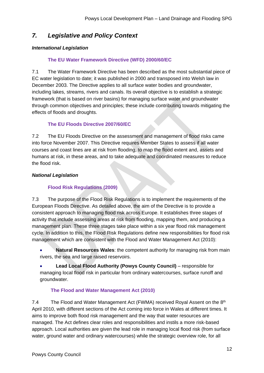# *7. Legislative and Policy Context*

## *International Legislation*

## **The EU Water Framework Directive (WFD) 2000/60/EC**

7.1 The Water Framework Directive has been described as the most substantial piece of EC water legislation to date; it was published in 2000 and transposed into Welsh law in December 2003. The Directive applies to all surface water bodies and groundwater, including lakes, streams, rivers and canals. Its overall objective is to establish a strategic framework (that is based on river basins) for managing surface water and groundwater through common objectives and principles; these include contributing towards mitigating the effects of floods and droughts.

## **The EU Floods Directive 2007/60/EC**

7.2 The EU Floods Directive on the assessment and management of flood risks came into force November 2007. This Directive requires Member States to assess if all water courses and coast lines are at risk from flooding, to map the flood extent and, assets and humans at risk, in these areas, and to take adequate and coordinated measures to reduce the flood risk.

## *National Legislation*

## **Flood Risk Regulations (2009)**

7.3 The purpose of the Flood Risk Regulations is to implement the requirements of the European Floods Directive. As detailed above, the aim of the Directive is to provide a consistent approach to managing flood risk across Europe. It establishes three stages of activity that include assessing areas at risk from flooding, mapping them, and producing a management plan. These three stages take place within a six year flood risk management cycle. In addition to this, the Flood Risk Regulations define new responsibilities for flood risk management which are consistent with the Flood and Water Management Act (2010):

• **Natural Resources Wales**: the competent authority for managing risk from main rivers, the sea and large raised reservoirs.

• **Lead Local Flood Authority (Powys County Council)** – responsible for managing local flood risk in particular from ordinary watercourses, surface runoff and groundwater.

## **The Flood and Water Management Act (2010)**

7.4 The Flood and Water Management Act (FWMA) received Royal Assent on the 8<sup>th</sup> April 2010, with different sections of the Act coming into force in Wales at different times. It aims to improve both flood risk management and the way that water resources are managed. The Act defines clear roles and responsibilities and instils a more risk-based approach. Local authorities are given the lead role in managing local flood risk (from surface water, ground water and ordinary watercourses) while the strategic overview role, for all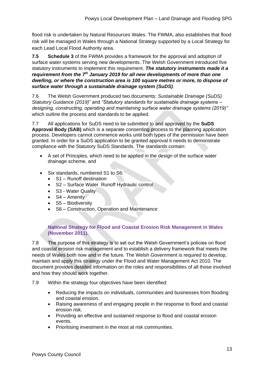flood risk is undertaken by Natural Resources Wales. The FWMA, also establishes that flood risk will be managed in Wales through a National Strategy supported by a Local Strategy for each Lead Local Flood Authority area.

**7.5 Schedule 3** of the FWMA provides a framework for the approval and adoption of surface water systems serving new developments. The Welsh Government introduced five statutory instruments to implement this requirement. *The statutory instruments made it a requirement from the 7th January 2019 for all new developments of more than one dwelling, or where the construction area is 100 square metres or more, to dispose of surface water through a sustainable drainage system (SuDS)*.

7.6 The Welsh Government produced two documents: *Sustainable Drainage (SuDS) Statutory Guidance (2019)*" and *"Statutory standards for sustainable drainage systems – designing, constructing, operating and maintaining surface water drainage systems (2019)"* which outline the process and standards to be applied.

7.7 All applications for SuDS need to be submitted to and approved by the **SuDS Approval Body (SAB)** which is a separate consenting process to the planning application process. Developers cannot commence works until both types of the permission have been granted. In order for a SuDS application to be granted approval it needs to demonstrate compliance with the Statutory SuDS Standards. The standards contain:

- A set of Principles, which need to be applied in the design of the surface water drainage scheme, and
- Six standards, numbered S1 to S6:
	- S1 Runoff destination
	- S2 Surface Water Runoff Hydraulic control
	- S3 Water Quality
	- $\bullet$  S4 Amenity
	- S5 Biodiversity
	- S6 Construction, Operation and Maintenance

### **National Strategy for Flood and Coastal Erosion Risk Management in Wales (November 2011).**

7.8 The purpose of this strategy is to set out the Welsh Government's policies on flood and coastal erosion risk management and to establish a delivery framework that meets the needs of Wales both now and in the future. The Welsh Government is required to develop, maintain and apply this strategy under the Flood and Water Management Act 2010. The document provides detailed information on the roles and responsibilities of all those involved and how they should work together.

- 7.9 Within the strategy four objectives have been identified:
	- Reducing the impacts on individuals, communities and businesses from flooding and coastal erosion.
	- Raising awareness of and engaging people in the response to flood and coastal erosion risk.
	- Providing an effective and sustained response to flood and coastal erosion events.
	- Prioritising investment in the most at risk communities.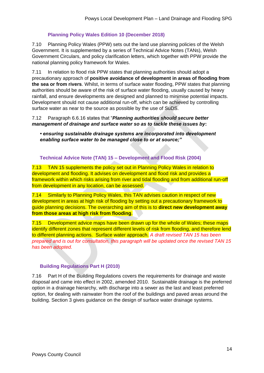#### **Planning Policy Wales Edition 10 (December 2018)**

7.10 Planning Policy Wales (PPW) sets out the land use planning policies of the Welsh Government. It is supplemented by a series of Technical Advice Notes (TANs), Welsh Government Circulars, and policy clarification letters, which together with PPW provide the national planning policy framework for Wales.

7.11 In relation to flood risk PPW states that planning authorities should adopt a precautionary approach of **positive avoidance of development in areas of flooding from the sea or from rivers**. Whilst, in terms of surface water flooding, PPW states that planning authorities should be aware of the risk of surface water flooding, usually caused by heavy rainfall, and ensure developments are designed and planned to minimise potential impacts. Development should not cause additional run-off, which can be achieved by controlling surface water as near to the source as possible by the use of SuDS.

#### 7.12 Paragraph 6.6.16 states that "*Planning authorities should secure better management of drainage and surface water so as to tackle these issues by***:**

*• ensuring sustainable drainage systems are incorporated into development enabling surface water to be managed close to or at source;"*

**Technical Advice Note (TAN) 15 – Development and Flood Risk (2004)**

7.13 TAN 15 supplements the policy set out in Planning Policy Wales in relation to development and flooding. It advises on development and flood risk and provides a framework within which risks arising from river and tidal flooding and from additional run-off from development in any location, can be assessed.

7.14 Similarly to Planning Policy Wales, this TAN advises caution in respect of new development in areas at high risk of flooding by setting out a precautionary framework to guide planning decisions. The overarching aim of this is to **direct new development away from those areas at high risk from flooding**.

7.15 Development advice maps have been drawn up for the whole of Wales; these maps identify different zones that represent different levels of risk from flooding, and therefore lend to different planning actions. Surface water approach. *A draft revised TAN 15 has been prepared and is out for consultation, this paragraph will be updated once the revised TAN 15 has been adopted.*

### **Building Regulations Part H (2010)**

7.16 Part H of the Building Regulations covers the requirements for drainage and waste disposal and came into effect in 2002, amended 2010. Sustainable drainage is the preferred option in a drainage hierarchy, with discharge into a sewer as the last and least preferred option, for dealing with rainwater from the roof of the buildings and paved areas around the building. Section 3 gives guidance on the design of surface water drainage systems.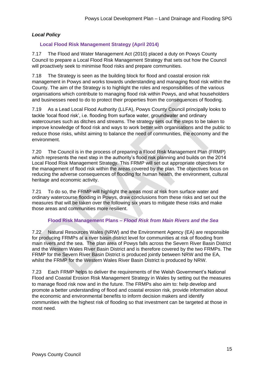#### *Local Policy*

### **Local Flood Risk Management Strategy (April 2014)**

7.17 The Flood and Water Management Act (2010) placed a duty on Powys County Council to prepare a Local Flood Risk Management Strategy that sets out how the Council will proactively seek to minimise flood risks and prepare communities.

7.18 The Strategy is seen as the building block for flood and coastal erosion risk management in Powys and works towards understanding and managing flood risk within the County. The aim of the Strategy is to highlight the roles and responsibilities of the various organisations which contribute to managing flood risk within Powys, and what householders and businesses need to do to protect their properties from the consequences of flooding.

7.19 As a Lead Local Flood Authority (LLFA), Powys County Council principally looks to tackle 'local flood risk', i.e. flooding from surface water, groundwater and ordinary watercourses such as ditches and streams. The strategy sets out the steps to be taken to improve knowledge of flood risk and ways to work better with organisations and the public to reduce those risks, whilst aiming to balance the need of communities, the economy and the environment.

7.20 The Council is in the process of preparing a Flood Risk Management Plan (FRMP) which represents the next step in the authority's flood risk planning and builds on the 2014 Local Flood Risk Management Strategy. This FRMP will set out appropriate objectives for the management of flood risk within the areas covered by the plan. The objectives focus on reducing the adverse consequences of flooding for human health, the environment, cultural heritage and economic activity.

7.21 To do so, the FRMP will highlight the areas most at risk from surface water and ordinary watercourse flooding in Powys, draw conclusions from these risks and set out the measures that will be taken over the following six years to mitigate these risks and make those areas and communities more resilient.

#### **Flood Risk Management Plans –** *Flood Risk from Main Rivers and the Sea*

7.22 Natural Resources Wales (NRW) and the Environment Agency (EA) are responsible for producing FRMPs at a river basin district level for communities at risk of flooding from main rivers and the sea. The plan area of Powys falls across the Severn River Basin District and the Western Wales River Basin District and is therefore covered by the two FRMPs. The FRMP for the Severn River Basin District is produced jointly between NRW and the EA, whilst the FRMP for the Western Wales River Basin District is produced by NRW.

7.23 Each FRMP helps to deliver the requirements of the Welsh Government's National Flood and Coastal Erosion Risk Management Strategy in Wales by setting out the measures to manage flood risk now and in the future. The FRMPs also aim to: help develop and promote a better understanding of flood and coastal erosion risk, provide information about the economic and environmental benefits to inform decision makers and identify communities with the highest risk of flooding so that investment can be targeted at those in most need.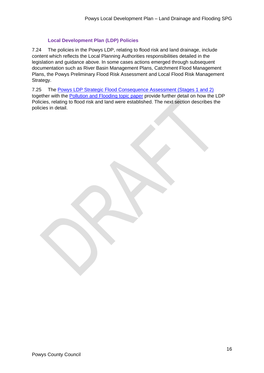## **Local Development Plan (LDP) Policies**

7.24 The policies in the Powys LDP, relating to flood risk and land drainage, include content which reflects the Local Planning Authorities responsibilities detailed in the legislation and guidance above. In some cases actions emerged through subsequent documentation such as River Basin Management Plans, Catchment Flood Management Plans, the Powys Preliminary Flood Risk Assessment and Local Flood Risk Management Strategy.

7.25 The [Powys LDP Strategic Flood Consequence Assessment \(Stages 1 and 2\)](https://en.powys.gov.uk/article/5429/Supporting-Documents) together with the [Pollution and Flooding topic paper](https://en.powys.gov.uk/article/5434/Topic-Papers) provide further detail on how the LDP Policies, relating to flood risk and land were established. The next section describes the policies in detail.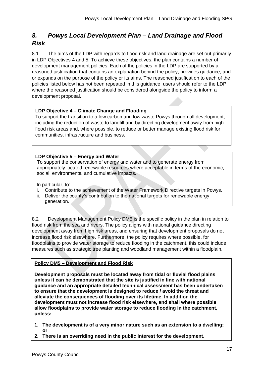# *8. Powys Local Development Plan – Land Drainage and Flood Risk*

8.1 The aims of the LDP with regards to flood risk and land drainage are set out primarily in LDP Objectives 4 and 5. To achieve these objectives, the plan contains a number of development management policies. Each of the policies in the LDP are supported by a reasoned justification that contains an explanation behind the policy, provides guidance, and or expands on the purpose of the policy or its aims. The reasoned justification to each of the policies listed below has not been repeated in this guidance; users should refer to the LDP where the reasoned justification should be considered alongside the policy to inform a development proposal.

### **LDP Objective 4 – Climate Change and Flooding**

To support the transition to a low carbon and low waste Powys through all development, including the reduction of waste to landfill and by directing development away from high flood risk areas and, where possible, to reduce or better manage existing flood risk for communities, infrastructure and business.

#### **LDP Objective 5 – Energy and Water**

To support the conservation of energy and water and to generate energy from appropriately located renewable resources where acceptable in terms of the economic, social, environmental and cumulative impacts.

In particular, to:

- i. Contribute to the achievement of the Water Framework Directive targets in Powys.
- ii. Deliver the county's contribution to the national targets for renewable energy generation.

8.2 Development Management Policy DM5 is the specific policy in the plan in relation to flood risk from the sea and rivers. The policy aligns with national guidance directing development away from high risk areas, and ensuring that development proposals do not increase flood risk elsewhere. Furthermore, the policy requires where possible, for floodplains to provide water storage to reduce flooding in the catchment, this could include measures such as strategic tree planting and woodland management within a floodplain.

### **Policy DM5 – Development and Flood Risk**

**Development proposals must be located away from tidal or fluvial flood plains unless it can be demonstrated that the site is justified in line with national guidance and an appropriate detailed technical assessment has been undertaken to ensure that the development is designed to reduce / avoid the threat and alleviate the consequences of flooding over its lifetime. In addition the development must not increase flood risk elsewhere, and shall where possible allow floodplains to provide water storage to reduce flooding in the catchment, unless:**

- **1. The development is of a very minor nature such as an extension to a dwelling; or**
- **2. There is an overriding need in the public interest for the development.**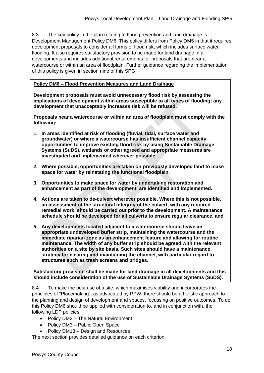8.3 The key policy in the plan relating to flood prevention and land drainage is Development Management Policy DM6. This policy differs from Policy DM5 in that it requires development proposals to consider all forms of flood risk, which includes surface water flooding. It also requires satisfactory provision to be made for land drainage in all developments and includes additional requirements for proposals that are near a watercourse or within an area of floodplain. Further guidance regarding the implementation of this policy is given in section nine of this SPG.

#### **Policy DM6 – Flood Prevention Measures and Land Drainage**

**Development proposals must avoid unnecessary flood risk by assessing the implications of development within areas susceptible to all types of flooding; any development that unacceptably increases risk will be refused.**

**Proposals near a watercourse or within an area of floodplain must comply with the following:**

- **1. In areas identified at risk of flooding (fluvial, tidal, surface water and groundwater) or where a watercourse has insufficient channel capacity, opportunities to improve existing flood risk by using Sustainable Drainage Systems (SuDS), wetlands or other agreed and appropriate measures are investigated and implemented wherever possible.**
- **2. Where possible, opportunities are taken on previously developed land to make space for water by reinstating the functional floodplain.**
- **3. Opportunities to make space for water by undertaking restoration and enhancement as part of the development, are identified and implemented.**
- **4. Actions are taken to de-culvert wherever possible. Where this is not possible, an assessment of the structural integrity of the culvert, with any required remedial work, should be carried out prior to the development. A maintenance schedule should be developed for all culverts to ensure regular clearance, and**
- **5. Any developments located adjacent to a watercourse should leave an appropriate undeveloped buffer strip, maintaining the watercourse and the immediate riparian zone as an enhancement feature and allowing for routine maintenance. The width of any buffer strip should be agreed with the relevant authorities on a site by site basis. Such sites should have a maintenance strategy for clearing and maintaining the channel, with particular regard to structures such as trash screens and bridges.**

**Satisfactory provision shall be made for land drainage in all developments and this should include consideration of the use of Sustainable Drainage Systems (SuDS).** 

8.4 To make the best use of a site, which maximises viability and incorporates the principles of "Placemaking", as advocated by PPW, there should be a holistic approach to the planning and design of development and spaces, focussing on positive outcomes. To do this Policy DM6 should be applied with consideration to, and in conjunction with, the following LDP policies:

- Policy DM2 The Natural Environment
- Policy DM3 Public Open Space
- Policy DM13 Design and Resources

The next section provides detailed guidance on each criterion.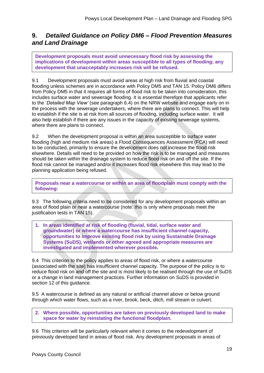## **9.** *Detailed Guidance on Policy DM6 – Flood Prevention Measures and Land Drainage*

**Development proposals must avoid unnecessary flood risk by assessing the implications of development within areas susceptible to all types of flooding; any development that unacceptably increases risk will be refused.**

9.1 Development proposals must avoid areas at high risk from fluvial and coastal flooding unless schemes are in accordance with Policy DM5 and TAN 15. Policy DM6 differs from Policy DM5 in that it requires all forms of flood risk to be taken into consideration, this includes surface water and sewerage flooding. It is essential therefore that applicants refer to the '*Detailed Map View'* (see paragraph 6.4) on the NRW website and engage early on in the process with the sewerage undertakers, where there are plans to connect. This will help to establish if the site is at risk from all sources of flooding, including surface water. It will also help establish if there are any issues in the capacity of existing sewerage systems, where there are plans to connect.

9.2 When the development proposal is within an area susceptible to surface water flooding (high and medium risk areas) a Flood Consequences Assessment (FCA) will need to be conducted, primarily to ensure the development does not increase the flood risk elsewhere. Details will need to be provided on how the risk is to be managed and measures should be taken within the drainage system to reduce flood risk on and off the site. If the flood risk cannot be managed and/or it increases flood risk elsewhere this may lead to the planning application being refused.

**Proposals near a watercourse or within an area of floodplain must comply with the following:**

9.3 The following criteria need to be considered for any development proposals within an area of flood plain or near a watercourse (note: this is only where proposals meet the justification tests in TAN 15).

**1. In areas identified at risk of flooding (fluvial, tidal, surface water and groundwater) or where a watercourse has insufficient channel capacity, opportunities to improve existing flood risk by using Sustainable Drainage Systems (SuDS), wetlands or other agreed and appropriate measures are investigated and implemented wherever possible.**

9.4 This criterion to the policy applies to areas of flood risk, or where a watercourse (associated with the site) has insufficient channel capacity. The purpose of the policy is to reduce flood risk on and off the site and is most likely to be realised through the use of SuDS or a change in land management practices. Further information on SuDS is provided in section 12 of this guidance.

9.5 A watercourse is defined as any natural or artificial channel above or below ground through which water flows, such as a river, brook, beck, ditch, mill stream or culvert.

**2. Where possible, opportunities are taken on previously developed land to make space for water by reinstating the functional floodplain.**

9.6 This criterion will be particularly relevant when it comes to the redevelopment of previously developed land in areas of flood risk. Any development proposals in areas of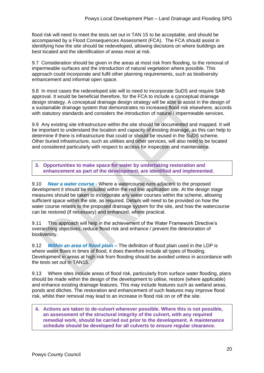flood risk will need to meet the tests set out in TAN 15 to be acceptable, and should be accompanied by a Flood Consequences Assessment (FCA). The FCA should assist in identifying how the site should be redeveloped, allowing decisions on where buildings are best located and the identification of areas most at risk.

9.7 Consideration should be given in the areas at most risk from flooding, to the removal of impermeable surfaces and the introduction of natural vegetation where possible. This approach could incorporate and fulfil other planning requirements, such as biodiversity enhancement and informal open space.

9.8 In most cases the redeveloped site will to need to incorporate SuDS and require SAB approval. It would be beneficial therefore, for the FCA to include a conceptual drainage design strategy. A conceptual drainage design strategy will be able to assist in the design of a sustainable drainage system that demonstrates no increased flood risk elsewhere, accords with statutory standards and considers the introduction of natural / impermeable services.

9.9 Any existing site infrastructure within the site should be documented and mapped. It will be important to understand the location and capacity of existing drainage, as this can help to determine if there is infrastructure that could or should be reused in the SuDS scheme. Other buried infrastructure, such as utilities and other services, will also need to be located and considered particularly with respect to access for inspection and maintenance.

**3. Opportunities to make space for water by undertaking restoration and enhancement as part of the development, are identified and implemented.**

9.10 *Near a water course* - Where a watercourse runs adjacent to the proposed development it should be included within the red line application site. At the design stage measures should be taken to incorporate any water courses within the scheme, allowing sufficient space within the site, as required. Details will need to be provided on how the water course relates to the proposed drainage system for the site, and how the watercourse can be restored (if necessary) and enhanced, where practical.

9.11 This approach will help in the achievement of the Water Framework Directive's overarching objectives, reduce flood risk and enhance / prevent the deterioration of biodiversity.

9.12 *Within an area of flood plain –* The definition of flood plain used in the LDP is where water flows in times of flood, it does therefore include all types of flooding. Development in areas at high risk from flooding should be avoided unless in accordance with the tests set out in TAN15.

9.13 Where sites include areas of flood risk, particularly from surface water flooding, plans should be made within the design of the development to utilise, restore (where applicable) and enhance existing drainage features. This may include features such as wetland areas, ponds and ditches. The restoration and enhancement of such features may improve flood risk, whilst their removal may lead to an increase in flood risk on or off the site.

**4. Actions are taken to de-culvert wherever possible. Where this is not possible, an assessment of the structural integrity of the culvert, with any required remedial work, should be carried out prior to the development. A maintenance schedule should be developed for all culverts to ensure regular clearance.**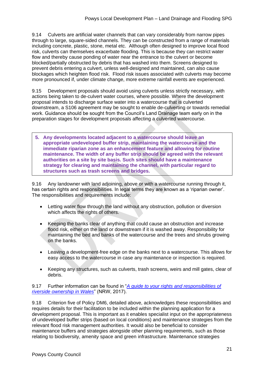9.14 Culverts are artificial water channels that can vary considerably from narrow pipes through to large, square-sided channels. They can be constructed from a range of materials including concrete, plastic, stone, metal etc. Although often designed to improve local flood risk, culverts can themselves exacerbate flooding. This is because they can restrict water flow and thereby cause ponding of water near the entrance to the culvert or become blocked/partially obstructed by debris that has washed into them. Screens designed to prevent debris entering a culvert, unless well-designed and maintained, can also cause blockages which heighten flood risk. Flood risk issues associated with culverts may become more pronounced if, under climate change, more extreme rainfall events are experienced.

9.15 Development proposals should avoid using culverts unless strictly necessary, with actions being taken to de-culvert water courses, where possible. Where the development proposal intends to discharge surface water into a watercourse that is culverted downstream, a S106 agreement may be sought to enable de-culverting or towards remedial work. Guidance should be sought from the Council's Land Drainage team early on in the preparation stages for development proposals affecting a culverted watercourse.

**5. Any developments located adjacent to a watercourse should leave an appropriate undeveloped buffer strip, maintaining the watercourse and the immediate riparian zone as an enhancement feature and allowing for routine maintenance. The width of any buffer strip should be agreed with the relevant authorities on a site by site basis. Such sites should have a maintenance strategy for clearing and maintaining the channel, with particular regard to structures such as trash screens and bridges.**

9.16 Any landowner with land adjoining, above or with a watercourse running through it, has certain rights and responsibilities. In legal terms they are known as a 'riparian owner'. The responsibilities and requirements include:

- Letting water flow through the land without any obstruction, pollution or diversion which affects the rights of others.
- Keeping the banks clear of anything that could cause an obstruction and increase flood risk, either on the land or downstream if it is washed away. Responsibility for maintaining the bed and banks of the watercourse and the trees and shrubs growing on the banks.
- Leaving a development-free edge on the banks next to a watercourse. This allows for easy access to the watercourse in case any maintenance or inspection is required.
- Keeping any structures, such as culverts, trash screens, weirs and mill gates, clear of debris.

9.17 Further information can be found in "*[A guide to your rights and responsibilities of](https://cdn.naturalresources.wales/media/680422/living-on-the-edge-final-jan-2017.pdf?mode=pad&rnd=131783688270000000)  [riverside ownership in Wales](https://cdn.naturalresources.wales/media/680422/living-on-the-edge-final-jan-2017.pdf?mode=pad&rnd=131783688270000000)*" (NRW, 2017).

9.18 Criterion five of Policy DM6, detailed above, acknowledges these responsibilities and requires details for their facilitation to be included within the planning application for a development proposal. This is important as it enables specialist input on the appropriateness of undeveloped buffer strips (based on local conditions) and maintenance strategies from the relevant flood risk management authorities. It would also be beneficial to consider maintenance buffers and strategies alongside other planning requirements, such as those relating to biodiversity, amenity space and green infrastructure. Maintenance strategies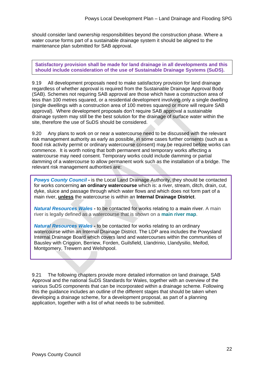should consider land ownership responsibilities beyond the construction phase. Where a water course forms part of a sustainable drainage system it should be aligned to the maintenance plan submitted for SAB approval.

**Satisfactory provision shall be made for land drainage in all developments and this should include consideration of the use of Sustainable Drainage Systems (SuDS).** 

9.19 All development proposals need to make satisfactory provision for land drainage regardless of whether approval is required from the Sustainable Drainage Approval Body (SAB). Schemes not requiring SAB approval are those which have a construction area of less than 100 metres squared, or a residential development involving only a single dwelling (single dwellings with a construction area of 100 metres squared or more will require SAB approval). Where development proposals don't require SAB approval a sustainable drainage system may still be the best solution for the drainage of surface water within the site, therefore the use of SuDS should be considered.

9.20 Any plans to work on or near a watercourse need to be discussed with the relevant risk management authority as early as possible, in some cases further consents (such as a flood risk activity permit or ordinary watercourse consent) may be required before works can commence. It is worth noting that both permanent and temporary works affecting a watercourse may need consent. Temporary works could include damming or partial damming of a watercourse to allow permanent work such as the installation of a bridge. The relevant risk management authorities are:

*Powys County Council -* is the Local Land Drainage Authority, they should be contacted for works concerning **an ordinary watercourse** which is: a river, stream, ditch, drain, cut, dyke, sluice and passage through which water flows and which does not form part of a main river, **unless** the watercourse is within an **Internal Drainage District**.

*Natural Resources Wales -* to be contacted for works relating to a **main river**. A main river is legally defined as a watercourse that is shown on a **[main](http://naturalresources.wales/evidence-and-data/maps/long-term-flood-risk/) river map**.

*Natural Resources Wales -* to be contacted for works relating to an ordinary watercourse within an Internal Drainage District. The LDP area includes the Powysland Internal Drainage Board which covers land and watercourses within the communities of Bausley with Criggion, Berriew, Forden, Guilsfield, Llandrinio, Llandysilio, Meifod, Montgomery, Trewern and Welshpool.

9.21 The following chapters provide more detailed information on land drainage, SAB Approval and the national SuDS Standards for Wales, together with an overview of the various SuDS components that can be incorporated within a drainage scheme. Following this the guidance includes an outline of the different stages that should be taken when developing a drainage scheme, for a development proposal, as part of a planning application, together with a list of what needs to be submitted.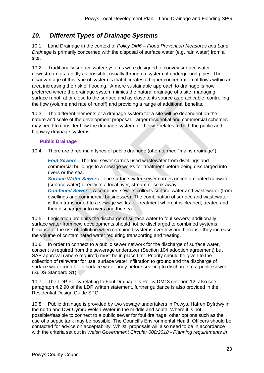# *10. Different Types of Drainage Systems*

10.1 Land Drainage in the context of *Policy DM6 – Flood Prevention Measures and Land Drainage* is primarily concerned with the disposal of surface water (e.g. rain water) from a site.

10.2 Traditionally surface water systems were designed to convey surface water downstream as rapidly as possible, usually through a system of underground pipes. The disadvantage of this type of system is that it creates a higher concentration of flows within an area increasing the risk of flooding. A more sustainable approach to drainage is now preferred where the drainage system mimics the natural drainage of a site, managing surface runoff at or close to the surface and as close to its source as practicable, controlling the flow (volume and rate of runoff) and providing a range of additional benefits.

10.3 The different elements of a drainage system for a site will be dependent on the nature and scale of the development proposal. Larger residential and commercial schemes may need to consider how the drainage system for the site relates to both the public and highway drainage systems.

### **Public Drainage**

10.4 There are three main types of public drainage (often termed "mains drainage"):

- *Foul Sewers* The foul sewer carries used wastewater from dwellings and commercial buildings to a sewage works for treatment before being discharged into rivers or the sea.
- *Surface Water Sewers -* The surface water sewer carries uncontaminated rainwater (surface water) directly to a local river, stream or soak away.
- *Combined Sewer* **–** A combined sewers collects surface water and wastewater (from dwellings and commercial businesses). The combination of surface and wastewater is then transported to a sewage works for treatment where it is cleaned, treated and then discharged into rivers and the sea.

10.5 Legislation prohibits the discharge of surface water to foul sewers; additionally, surface water from new developments should not be discharged to combined systems because of the risk of pollution when combined systems overflow and because they increase the volume of contaminated water requiring transporting and treating.

10.6 In order to connect to a public sewer network for the discharge of surface water, consent is required from the sewerage undertaker (Section 104 adoption agreement) but SAB approval (where required) must be in place first. Priority should be given to the collection of rainwater for use, surface water infiltration to ground and the discharge of surface water runoff to a surface water body before seeking to discharge to a public sewer (SuDS Standard S1).

10.7 The LDP Policy relating to Foul Drainage is Policy DM13 criterion 12, also see paragraph 4.2.90 of the LDP written statement, further guidance is also provided in the Residential Design Guide SPG.

10.8 Public drainage is provided by two sewage undertakers in Powys, Hafren Dyfrdwy in the north and Dwr Cymru Welsh Water in the middle and south. Where it is not possible/feasible to connect to a public sewer for foul drainage, other options such as the use of a septic tank may be possible. The Council's Environmental Health Officers should be contacted for advice on acceptability. Whilst, proposals will also need to be in accordance with the criteria set out in *Welsh Government Circular 008/2018 - Planning requirements in*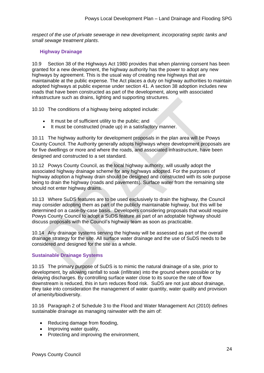*respect of the use of private sewerage in new development, incorporating septic tanks and small sewage treatment plants*.

#### **Highway Drainage**

10.9 Section 38 of the Highways Act 1980 provides that when [planning consent](https://www.designingbuildings.co.uk/wiki/Planning_consent) has been granted for a new [development,](https://www.designingbuildings.co.uk/wiki/Development) the highway authority has the power to adopt any new highways by agreement. This is the usual way of creating new highways that are maintainable at the public expense. The Act places a duty on highway authorities to maintain adopted highways at public expense under section 41. A section 38 adoption includes new [roads](https://www.designingbuildings.co.uk/wiki/Road) that have been constructed as part of the development, along with associated [infrastructure](https://www.designingbuildings.co.uk/wiki/Infrastructure) such as [drains,](https://www.designingbuildings.co.uk/wiki/Drains) [lighting](https://www.designingbuildings.co.uk/wiki/Lighting) and supporting [structures.](https://www.designingbuildings.co.uk/wiki/Structure)

10.10 The [conditions](https://www.designingbuildings.co.uk/wiki/Condition) of a [highway](https://www.designingbuildings.co.uk/wiki/Highways) being [adopted](https://www.designingbuildings.co.uk/wiki/Adopted) include:

- It must be of sufficient utility to the public; and
- It must be constructed (made up) in a satisfactory manner.

10.11 The highway authority for development proposals in the plan area will be Powys County Council. The Authority generally adopts highways where development proposals are for five dwellings or more and where the roads, and associated infrastructure, have been designed and constructed to a set standard.

10.12 Powys County Council, as the local highway authority, will usually adopt the associated highway drainage scheme for any highways adopted. For the purposes of highway adoption a highway drain should be designed and constructed with its sole purpose being to drain the highway (roads and pavements). Surface water from the remaining site should not enter highway drains.

10.13 Where SuDS features are to be used exclusively to drain the highway, the Council may consider adopting them as part of the publicly maintainable highway, but this will be determined on a case-by-case basis. Developers considering proposals that would require Powys County Council to adopt a SuDS feature as part of an adoptable highway should discuss proposals with the Council's highway team as soon as practicable.

10.14 Any drainage systems serving the highway will be assessed as part of the overall drainage strategy for the site. All surface water drainage and the use of SuDS needs to be considered and designed for the site as a whole.

#### **Sustainable Drainage Systems**

10.15 The primary purpose of SuDS is to mimic the natural drainage of a site, prior to development, by allowing rainfall to soak (infiltrate) into the ground where possible or by delaying discharges. By controlling surface water close to its source the rate of flow downstream is reduced, this in turn reduces flood risk. SuDS are not just about drainage, they take into consideration the management of water quantity, water quality and provision of amenity/biodiversity.

10.16 Paragraph 2 of Schedule 3 to the Flood and Water Management Act (2010) defines sustainable drainage as managing rainwater with the aim of:

- Reducing damage from flooding,
- Improving water quality,
- Protecting and improving the environment,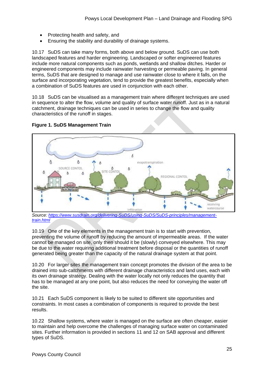- Protecting health and safety, and
- Ensuring the stability and durability of drainage systems.

10.17 SuDS can take many forms, both above and below ground. SuDS can use both landscaped features and harder engineering. Landscaped or softer engineered features include more natural components such as ponds, wetlands and shallow ditches. Harder or engineered components may include rainwater harvesting or permeable paving. In general terms, SuDS that are designed to manage and use rainwater close to where it falls, on the surface and incorporating vegetation, tend to provide the greatest benefits, especially when a combination of SuDS features are used in conjunction with each other.

10.18 SuDS can be visualised as a management train where different techniques are used in sequence to alter the flow, volume and quality of surface water runoff. Just as in a natural catchment, drainage techniques can be used in series to change the flow and quality characteristics of the runoff in stages.





*Source: [https://www.susdrain.org/delivering-SuDS/using-SuDS/SuDS-principles/management](https://www.susdrain.org/delivering-suds/using-suds/suds-principles/management-train.html)[train.html](https://www.susdrain.org/delivering-suds/using-suds/suds-principles/management-train.html)*

10.19 One of the key elements in the management train is to start with prevention, preventing the volume of runoff by reducing the amount of impermeable areas. If the water cannot be managed on site, only then should it be (slowly) conveyed elsewhere. This may be due to the water requiring additional treatment before disposal or the quantities of runoff generated being greater than the capacity of the natural drainage system at that point.

10.20 For larger sites the management train concept promotes the division of the area to be drained into sub-catchments with different drainage characteristics and land uses, each with its own drainage strategy. Dealing with the water locally not only reduces the quantity that has to be managed at any one point, but also reduces the need for conveying the water off the site.

10.21 Each SuDS component is likely to be suited to different site opportunities and constraints. In most cases a combination of components is required to provide the best results.

10.22 Shallow systems, where water is managed on the surface are often cheaper, easier to maintain and help overcome the challenges of managing surface water on contaminated sites. Further information is provided in sections 11 and 12 on SAB approval and different types of SuDS.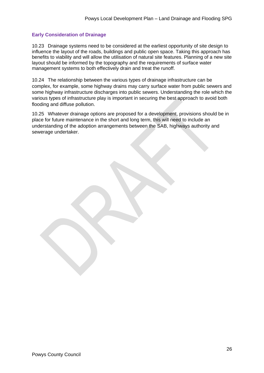#### **Early Consideration of Drainage**

10.23 Drainage systems need to be considered at the earliest opportunity of site design to influence the layout of the roads, buildings and public open space. Taking this approach has benefits to viability and will allow the utilisation of natural site features. Planning of a new site layout should be informed by the topography and the requirements of surface water management systems to both effectively drain and treat the runoff.

10.24 The relationship between the various types of drainage infrastructure can be complex, for example, some highway drains may carry surface water from public sewers and some highway infrastructure discharges into public sewers. Understanding the role which the various types of infrastructure play is important in securing the best approach to avoid both flooding and diffuse pollution.

10.25 Whatever drainage options are proposed for a development, provisions should be in place for future maintenance in the short and long term, this will need to include an understanding of the adoption arrangements between the SAB, highways authority and sewerage undertaker.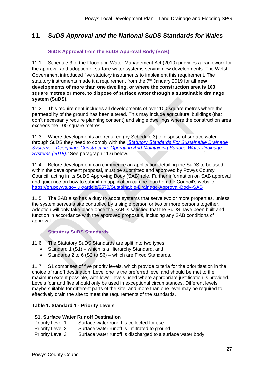# **11.** *SuDS Approval and the National SuDS Standards for Wales*

## **SuDS Approval from the SuDS Approval Body (SAB)**

11.1 Schedule 3 of the Flood and Water Management Act (2010) provides a framework for the approval and adoption of surface water systems serving new developments. The Welsh Government introduced five statutory instruments to implement this requirement. The statutory instruments made it a requirement from the 7th January 2019 for all **new developments of more than one dwelling, or where the construction area is 100 square metres or more, to dispose of surface water through a sustainable drainage system (SuDS).**

11.2 This requirement includes all developments of over 100 square metres where the permeability of the ground has been altered. This may include agricultural buildings (that don't necessarily require planning consent) and single dwellings where the construction area exceeds the 100 square metres.

11.3 Where developments are required (by Schedule 3) to dispose of surface water through SuDS they need to comply with the *['Statutory Standards For Sustainable Drainage](https://gov.wales/sites/default/files/publications/2019-06/statutory-national-standards-for-sustainable-drainage-systems.pdf)  Systems – [Designing, Constructing, Operating And Maintaining Surface Water Drainage](https://gov.wales/sites/default/files/publications/2019-06/statutory-national-standards-for-sustainable-drainage-systems.pdf)  [Systems \(2018\).'](https://gov.wales/sites/default/files/publications/2019-06/statutory-national-standards-for-sustainable-drainage-systems.pdf)* See paragraph 11.6 below.

11.4 Before development can commence an application detailing the SuDS to be used, within the development proposal, must be submitted and approved by Powys County Council, acting in its SuDS Approving Body (SAB) role. Further information on SAB approval and guidance on how to submit an application can be found on the Council's website: <https://en.powys.gov.uk/article/5578/Sustainable-Drainage-Approval-Body-SAB>

11.5 The SAB also has a duty to adopt systems that serve two or more properties, unless the system serves a site controlled by a single person or two or more persons together. Adoption will only take place once the SAB is satisfied that the SuDS have been built and function in accordance with the approved proposals, including any SAB conditions of approval.

### **Statutory SuDS Standards**

11.6 The Statutory SuDS Standards are split into two types:

- Standard 1 (S1) which is a Hierarchy Standard, and
- Standards 2 to 6 (S2 to S6) which are Fixed Standards.

11.7 S1 comprises of five priority levels, which provide criteria for the prioritisation in the choice of runoff destination. Level one is the preferred level and should be met to the maximum extent possible, with lower levels used where appropriate justification is provided. Levels four and five should only be used in exceptional circumstances. Different levels maybe suitable for different parts of the site, and more than one level may be required to effectively drain the site to meet the requirements of the standards.

|  | Table 1. Standard 1 - Priority Levels |  |  |
|--|---------------------------------------|--|--|
|--|---------------------------------------|--|--|

| <b>S1. Surface Water Runoff Destination</b> |                                                            |  |
|---------------------------------------------|------------------------------------------------------------|--|
| <b>Priority Level 1</b>                     | Surface water runoff is collected for use                  |  |
| <b>Priority Level 2</b>                     | Surface water runoff is infiltrated to ground              |  |
| <b>Priority Level 3</b>                     | Surface water runoff is discharged to a surface water body |  |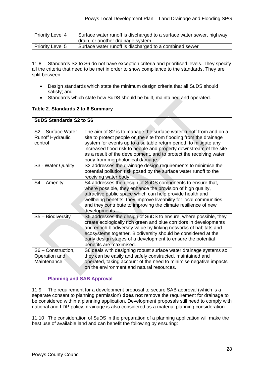| Priority Level 4 | Surface water runoff is discharged to a surface water sewer, highway |
|------------------|----------------------------------------------------------------------|
|                  | drain, or another drainage system                                    |
| Priority Level 5 | Surface water runoff is discharged to a combined sewer               |

11.8 Standards S2 to S6 do not have exception criteria and prioritised levels. They specify all the criteria that need to be met in order to show compliance to the standards. They are split between:

- Design standards which state the minimum design criteria that all SuDS should satisfy; and
- Standards which state how SuDS should be built, maintained and operated.

#### **Table 2. Standards 2 to 6 Summary**

| <b>SuDS Standards S2 to S6</b>                           |                                                                                                                                                                                                                                                                                                                                                                                             |  |
|----------------------------------------------------------|---------------------------------------------------------------------------------------------------------------------------------------------------------------------------------------------------------------------------------------------------------------------------------------------------------------------------------------------------------------------------------------------|--|
| S2 - Surface Water<br><b>Runoff Hydraulic</b><br>control | The aim of S2 is to manage the surface water runoff from and on a<br>site to protect people on the site from flooding from the drainage<br>system for events up to a suitable return period, to mitigate any<br>increased flood risk to people and property downstream of the site<br>as a result of the development, and to protect the receiving water<br>body from morphological damage. |  |
| S3 - Water Quality                                       | S3 addresses the drainage design requirements to minimise the<br>potential pollution risk posed by the surface water runoff to the<br>receiving water body.                                                                                                                                                                                                                                 |  |
| $S4 -$ Amenity                                           | S4 addresses the design of SuDS components to ensure that,<br>where possible, they enhance the provision of high quality,<br>attractive public space which can help provide health and<br>wellbeing benefits, they improve liveability for local communities,<br>and they contribute to improving the climate resilience of new<br>developments.                                            |  |
| S5 - Biodiversity                                        | S5 addresses the design of SuDS to ensure, where possible, they<br>create ecologically rich green and blue corridors in developments<br>and enrich biodiversity value by linking networks of habitats and<br>ecosystems together. Biodiversity should be considered at the<br>early design stages of a development to ensure the potential<br>benefits are maximised.                       |  |
| S6 - Construction,<br>Operation and<br>Maintenance       | S6 deals with designing robust surface water drainage systems so<br>they can be easily and safely constructed, maintained and<br>operated, taking account of the need to minimise negative impacts<br>on the environment and natural resources.                                                                                                                                             |  |

### **Planning and SAB Approval**

11.9 The requirement for a development proposal to secure SAB approval (which is a separate consent to planning permission) **does not** remove the requirement for drainage to be considered within a planning application. Development proposals still need to comply with national and LDP policy, drainage is also considered as a material planning consideration.

11.10 The consideration of SuDS in the preparation of a planning application will make the best use of available land and can benefit the following by ensuring: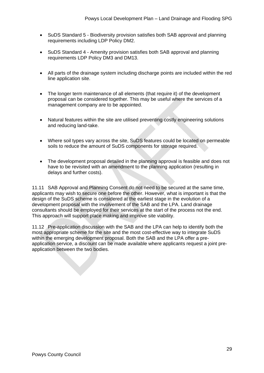- SuDS Standard 5 Biodiversity provision satisfies both SAB approval and planning requirements including LDP Policy DM2.
- SuDS Standard 4 Amenity provision satisfies both SAB approval and planning requirements LDP Policy DM3 and DM13.
- All parts of the drainage system including discharge points are included within the red line application site.
- The longer term maintenance of all elements (that require it) of the development proposal can be considered together. This may be useful where the services of a management company are to be appointed.
- Natural features within the site are utilised preventing costly engineering solutions and reducing land-take.
- Where soil types vary across the site, SuDS features could be located on permeable soils to reduce the amount of SuDS components for storage required.
- The development proposal detailed in the planning approval is feasible and does not have to be revisited with an amendment to the planning application (resulting in delays and further costs).

11.11 SAB Approval and Planning Consent do not need to be secured at the same time, applicants may wish to secure one before the other. However, what is important is that the design of the SuDS scheme is considered at the earliest stage in the evolution of a development proposal with the involvement of the SAB and the LPA. Land drainage consultants should be employed for their services at the start of the process not the end. This approach will support place making and improve site viability.

11.12 Pre-application discussion with the SAB and the LPA can help to identify both the most appropriate scheme for the site and the most cost-effective way to integrate SuDS within the emerging development proposal. Both the SAB and the LPA offer a preapplication service, a discount can be made available where applicants request a joint preapplication between the two bodies.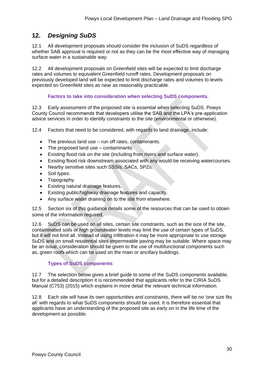# **12.** *Designing SuDS*

12.1 All development proposals should consider the inclusion of SuDS regardless of whether SAB approval is required or not as they can be the most effective way of managing surface water in a sustainable way.

12.2 All development proposals on Greenfield sites will be expected to limit discharge rates and volumes to equivalent Greenfield runoff rates. Development proposals on previously developed land will be expected to limit discharge rates and volumes to levels expected on Greenfield sites as near as reasonably practicable.

#### **Factors to take into consideration when selecting SuDS components.**

12.3 Early assessment of the proposed site is essential when selecting SuDS. Powys County Council recommends that developers utilise the SAB and the LPA's pre-application advice services in order to identify constraints to the site (environmental or otherwise).

12.4 Factors that need to be considered, with regards to land drainage, include:

- The previous land use run off rates, contaminants.
- The proposed land use contaminants.
- Existing flood risk on the site (including from rivers and surface water).
- Existing flood risk downstream associated with any would-be receiving watercourses.
- Nearby sensitive sites such SSSIs, SACs, SPZs.
- Soil types.
- Topography.
- Existing natural drainage features.
- Existing public/highway drainage features and capacity.
- Any surface water draining on to the site from elsewhere.

12.5 Section six of this guidance details some of the resources that can be used to obtain some of the information required.

12.6 SuDS can be used on all sites, certain site constraints, such as the size of the site, contaminated soils or high groundwater levels may limit the use of certain types of SuDS, but it will not limit all. Instead of using infiltration it may be more appropriate to use storage SuDS and on small residential sites impermeable paving may be suitable. Where space may be an issue, consideration should be given to the use of multifunctional components such as, green roofs which can be used on the main or ancillary buildings.

### **Types of SuDS components**

12.7 The selection below gives a brief guide to some of the SuDS components available, but for a detailed description it is recommended that applicants refer to the CIRIA SuDS Manual (C753) (2015) which explains in more detail the relevant technical information.

12.8 Each site will have its own opportunities and constraints, there will be no 'one size fits all' with regards to what SuDS components should be used. It is therefore essential that applicants have an understanding of the proposed site as early on in the life time of the development as possible.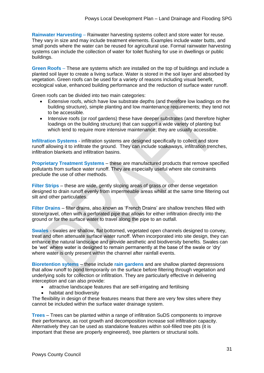**Rainwater Harvesting** – Rainwater harvesting systems collect and store water for reuse. They vary in size and may include treatment elements. Examples include water butts, and small ponds where the water can be reused for agricultural use. Formal rainwater harvesting systems can include the collection of water for toilet flushing for use in dwellings or public buildings.

**Green Roofs** – These are systems which are installed on the top of buildings and include a planted soil layer to create a living surface. Water is stored in the soil layer and absorbed by vegetation. Green roofs can be used for a variety of reasons including visual benefit, ecological value, enhanced building performance and the reduction of surface water runoff.

Green roofs can be divided into two main categories:

- Extensive roofs, which have low substrate depths (and therefore low loadings on the building structure), simple planting and low maintenance requirements; they tend not to be accessible.
- Intensive roofs (or roof gardens) these have deeper substrates (and therefore higher loadings on the building structure) that can support a wide variety of planting but which tend to require more intensive maintenance; they are usually accessible.

**Infiltration Systems** - infiltration systems are designed specifically to collect and store runoff allowing it to infiltrate the ground. They can include soakaways, infiltration trenches, infiltration blankets and infiltration basins.

**Proprietary Treatment Systems** – these are manufactured products that remove specified pollutants from surface water runoff. They are especially useful where site constraints preclude the use of other methods.

**Filter Strips** – these are wide, gently sloping areas of grass or other dense vegetation designed to drain runoff evenly from impermeable areas whilst at the same time filtering out silt and other particulates.

**Filter Drains** – filter drains, also known as 'French Drains' are shallow trenches filled with stone/gravel, often with a perforated pipe that allows for either infiltration directly into the ground or for the surface water to travel along the pipe to an outfall.

**Swales** - swales are shallow, flat bottomed, vegetated open channels designed to convey, treat and often attenuate surface water runoff. When incorporated into site design, they can enhance the natural landscape and provide aesthetic and biodiversity benefits. Swales can be 'wet' where water is designed to remain permanently at the base of the swale or 'dry' where water is only present within the channel after rainfall events.

**Bioretention sytems** – these include **rain gardens** and are shallow planted depressions that allow runoff to pond temporarily on the surface before filtering through vegetation and underlying soils for collection or infiltration. They are particularly effective in delivering interception and can also provide:

- attractive landscape features that are self-irrigating and fertilising
- habitat and biodiversity

The flexibility in design of these features means that there are very few sites where they cannot be included within the surface water drainage system.

**Trees** – Trees can be planted within a range of infiltration SuDS components to improve their performance, as root growth and decomposition increase soil infiltration capacity. Alternatively they can be used as standalone features within soil-filled tree pits (it is important that these are properly engineered), tree planters or structural soils.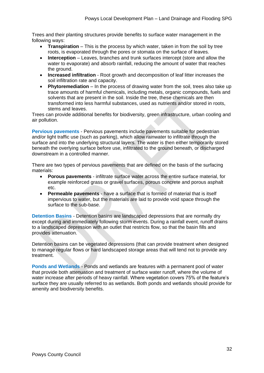Trees and their planting structures provide benefits to surface water management in the following ways:

- **Transpiration** This is the process by which water, taken in from the soil by tree roots, is evaporated through the pores or stomata on the surface of leaves.
- **Interception** Leaves, branches and trunk surfaces intercept (store and allow the water to evaporate) and absorb rainfall, reducing the amount of water that reaches the ground.
- **Increased infiltration** Root growth and decomposition of leaf litter increases the soil infiltration rate and capacity.
- **Phytoremediation** In the process of drawing water from the soil, trees also take up trace amounts of harmful chemicals, including metals, organic compounds, fuels and solvents that are present in the soil. Inside the tree, these chemicals are then transformed into less harmful substances, used as nutrients and/or stored in roots, stems and leaves.

Trees can provide additional benefits for biodiversity, green infrastructure, urban cooling and air pollution.

**Pervious pavements** - Pervious pavements include pavements suitable for pedestrian and/or light traffic use (such as parking), which allow rainwater to infiltrate through the surface and into the underlying structural layers. The water is then either temporarily stored beneath the overlying surface before use, infiltrated to the ground beneath, or discharged downstream in a controlled manner.

There are two types of pervious pavements that are defined on the basis of the surfacing materials:

- **Porous pavements** infiltrate surface water across the entire surface material, for example reinforced grass or gravel surfaces, porous concrete and porous asphalt etc.
- **Permeable pavements** have a surface that is formed of material that is itself impervious to water, but the materials are laid to provide void space through the surface to the sub-base.

**Detention Basins** - Detention basins are landscaped depressions that are normally dry except during and immediately following storm events. During a rainfall event, runoff drains to a landscaped depression with an outlet that restricts flow, so that the basin fills and provides attenuation.

Detention basins can be vegetated depressions (that can provide treatment when designed to manage regular flows or hard landscaped storage areas that will tend not to provide any treatment.

**Ponds and Wetlands** - Ponds and wetlands are features with a permanent pool of water that provide both attenuation and treatment of surface water runoff, where the volume of water increase after periods of heavy rainfall. Where vegetation covers 75% of the feature's surface they are usually referred to as wetlands. Both ponds and wetlands should provide for amenity and biodiversity benefits.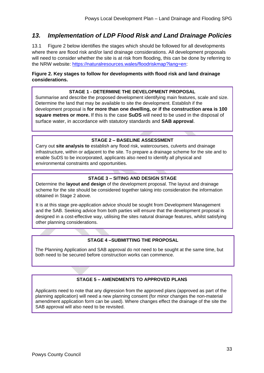## *13. Implementation of LDP Flood Risk and Land Drainage Policies*

13.1 Figure 2 below identifies the stages which should be followed for all developments where there are flood risk and/or land drainage considerations. All development proposals will need to consider whether the site is at risk from flooding, this can be done by referring to the NRW website: [https://naturalresources.wales/floodriskmap?lang=en:](https://naturalresources.wales/floodriskmap?lang=en)

#### **Figure 2. Key stages to follow for developments with flood risk and land drainage considerations.**

#### **STAGE 1 - DETERMINE THE DEVELOPMENT PROPOSAL**

Summarise and describe the proposed development identifying main features, scale and size. Determine the land that may be available to site the development. Establish if the development proposal is **for more than one dwelling, or if the construction area is 100 square metres or more.** If this is the case **SuDS** will need to be used in the disposal of surface water, in accordance with statutory standards and **SAB approval**.

#### **STAGE 2 – BASELINE ASSESSMENT**

Carry out **site analysis to** establish any flood risk, watercourses, culverts and drainage infrastructure, within or adjacent to the site. To prepare a drainage scheme for the site and to enable SuDS to be incorporated, applicants also need to identify all physical and environmental constraints and opportunities.

#### **STAGE 3 – SITING AND DESIGN STAGE**

Determine the **layout and design** of the development proposal. The layout and drainage scheme for the site should be considered together taking into consideration the information obtained in Stage 2 above.

It is at this stage pre-application advice should be sought from Development Management and the SAB. Seeking advice from both parties will ensure that the development proposal is designed in a cost-effective way, utilising the sites natural drainage features, whilst satisfying other planning considerations.

#### **STAGE 4 –SUBMITTING THE PROPOSAL**

The Planning Application and SAB approval do not need to be sought at the same time, but both need to be secured before construction works can commence.

#### **STAGE 5 – AMENDMENTS TO APPROVED PLANS**

Applicants need to note that any digression from the approved plans (approved as part of the planning application) will need a new planning consent (for minor changes the non-material amendment application form can be used). Where changes effect the drainage of the site the SAB approval will also need to be revisited.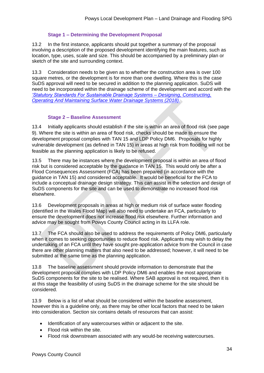#### **Stage 1 – Determining the Development Proposal**

13.2 In the first instance, applicants should put together a summary of the proposal involving a description of the proposed development identifying the main features, such as location, type, uses, scale and size. This should be accompanied by a preliminary plan or sketch of the site and surrounding context.

13.3 Consideration needs to be given as to whether the construction area is over 100 square metres, or the development is for more than one dwelling. Where this is the case SuDS approval will need to be secured in addition to the planning application. SuDS will need to be incorporated within the drainage scheme of the development and accord with the *['Statutory Standards For Sustainable Drainage Systems –](https://gov.wales/sites/default/files/publications/2019-06/statutory-national-standards-for-sustainable-drainage-systems.pdf) Designing, Constructing, [Operating And Maintaining Surface Water Drainage Systems \(2018\).](https://gov.wales/sites/default/files/publications/2019-06/statutory-national-standards-for-sustainable-drainage-systems.pdf)*

#### **Stage 2 – Baseline Assessment**

13.4 Initially applicants should establish if the site is within an area of flood risk (see page 9). Where the site is within an area of flood risk, checks should be made to ensure the development proposal complies with TAN 15 and LDP Policy DM6. Proposals for highly vulnerable development (as defined in TAN 15) in areas at high risk from flooding will not be feasible as the planning application is likely to be refused.

13.5 There may be instances where the development proposal is within an area of flood risk but is considered acceptable by the guidance in TAN 15. This would only be after a Flood Consequences Assessment (FCA) has been prepared (in accordance with the guidance in TAN 15) and considered acceptable. It would be beneficial for the FCA to include a conceptual drainage design strategy. This can assist in the selection and design of SuDS components for the site and can be used to demonstrate no increased flood risk elsewhere.

13.6 Development proposals in areas at high or medium risk of surface water flooding (identified in the Wales Flood Map) will also need to undertake an FCA, particularly to ensure the development does not increase flood risk elsewhere. Further information and advice may be sought from Powys County Council acting in its LLFA role.

13.7 The FCA should also be used to address the requirements of Policy DM6, particularly when it comes to seeking opportunities to reduce flood risk. Applicants may wish to delay the undertaking of an FCA until they have sought pre-application advice from the Council in case there are other planning matters that also need to be addressed; however, it will need to be submitted at the same time as the planning application.

13.8 The baseline assessment should provide information to demonstrate that the development proposal complies with LDP Policy DM6 and enables the most appropriate SuDS components for the site to be realised. Where SAB approval is not required, then it is at this stage the feasibility of using SuDS in the drainage scheme for the site should be considered.

13.9 Below is a list of what should be considered within the baseline assessment, however this is a guideline only, as there may be other local factors that need to be taken into consideration. Section six contains details of resources that can assist:

- Identification of any watercourses within or adjacent to the site.
- Flood risk within the site.
- Flood risk downstream associated with any would-be receiving watercourses.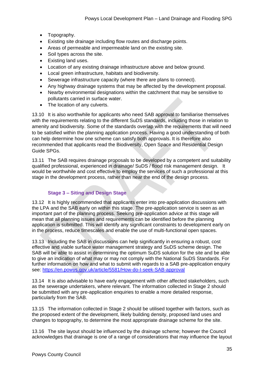- Topography.
- Existing site drainage including flow routes and discharge points.
- Areas of permeable and impermeable land on the existing site.
- Soil types across the site.
- Existing land uses.
- Location of any existing drainage infrastructure above and below ground.
- Local green infrastructure, habitats and biodiversity.
- Sewerage infrastructure capacity (where there are plans to connect).
- Any highway drainage systems that may be affected by the development proposal.
- Nearby environmental designations within the catchment that may be sensitive to pollutants carried in surface water.
- The location of any culverts.

13.10 It is also worthwhile for applicants who need SAB approval to familiarise themselves with the requirements relating to the different SuDS standards, including those in relation to amenity and biodiversity. Some of the standards overlap with the requirements that will need to be satisfied within the planning application process. Having a good understanding of both can help determine how one scheme can satisfy both approvals. It is therefore also recommended that applicants read the Biodiversity, Open Space and Residential Design Guide SPGs.

13.11 The SAB requires drainage proposals to be developed by a competent and suitability qualified professional, experienced in drainage/ SuDS / flood risk management design. It would be worthwhile and cost effective to employ the services of such a professional at this stage in the development process, rather than near the end of the design process.

### **Stage 3 – Siting and Design Stage**

13.12 It is highly recommended that applicants enter into pre-application discussions with the LPA and the SAB early on within this stage. The pre-application service is seen as an important part of the planning process. Seeking pre-application advice at this stage will mean that all planning issues and requirements can be identified before the planning application is submitted. This will identify any significant constraints to development early on in the process, reduce timescales and enable the use of multi-functional open spaces.

13.13 Including the SAB in discussions can help significantly in ensuring a robust, cost effective and viable surface water management strategy and SuDS scheme design. The SAB will be able to assist in determining the optimum SuDS solution for the site and be able to give an indication of what may or may not comply with the National SuDS Standards. For further information on how and what to submit with regards to a SAB pre-application enquiry see:<https://en.powys.gov.uk/article/5581/How-do-I-seek-SAB-approval>

13.14 It is also advisable to have early engagement with other affected stakeholders, such as the sewerage undertakers, where relevant. The information collected in Stage 2 should be submitted with any pre-application enquiries to enable a more detailed response, particularly from the SAB.

13.15 The information collected in Stage 2 should be utilised together with factors, such as the proposed extent of the development, likely building density, proposed land uses and changes to topography, to determine the most appropriate drainage scheme for the site.

13.16 The site layout should be influenced by the drainage scheme; however the Council acknowledges that drainage is one of a range of considerations that may influence the layout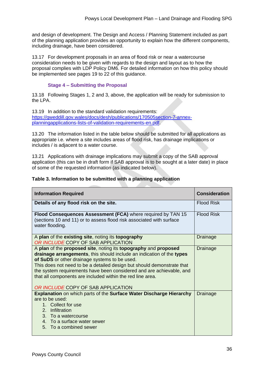and design of development. The Design and Access / Planning Statement included as part of the planning application provides an opportunity to explain how the different components, including drainage, have been considered.

13.17 For development proposals in an area of flood risk or near a watercourse consideration needs to be given with regards to the design and layout as to how the proposal complies with LDP Policy DM6. For detailed information on how this policy should be implemented see pages 19 to 22 of this guidance.

#### **Stage 4 – Submitting the Proposal**

13.18 Following Stages 1, 2 and 3, above, the application will be ready for submission to the LPA.

13.19 In addition to the standard validation requirements: [https://gweddill.gov.wales/docs/desh/publications/170505section-7-annex](https://gweddill.gov.wales/docs/desh/publications/170505section-7-annex-planningapplications-lists-of-validation-requirements-en.pdf)[planningapplications-lists-of-validation-requirements-en.pdf.](https://gweddill.gov.wales/docs/desh/publications/170505section-7-annex-planningapplications-lists-of-validation-requirements-en.pdf)

13.20 The information listed in the table below should be submitted for all applications as appropriate i.e. where a site includes areas of flood risk, has drainage implications or includes / is adjacent to a water course.

13.21 Applications with drainage implications may submit a copy of the SAB approval application (this can be in draft form if SAB approval is to be sought at a later date) in place of some of the requested information (as indicated below).

#### **Table 3. Information to be submitted with a planning application**

| <b>Information Required</b>                                                                                                                                                                                                                                                                                                                                                                                                                     | <b>Consideration</b> |
|-------------------------------------------------------------------------------------------------------------------------------------------------------------------------------------------------------------------------------------------------------------------------------------------------------------------------------------------------------------------------------------------------------------------------------------------------|----------------------|
| Details of any flood risk on the site.                                                                                                                                                                                                                                                                                                                                                                                                          | <b>Flood Risk</b>    |
| Flood Consequences Assessment (FCA) where required by TAN 15<br>(sections 10 and 11) or to assess flood risk associated with surface<br>water flooding.                                                                                                                                                                                                                                                                                         | <b>Flood Risk</b>    |
| A plan of the existing site, noting its topography<br>OR INCLUDE COPY OF SAB APPLICATION                                                                                                                                                                                                                                                                                                                                                        | Drainage             |
| A plan of the proposed site, noting its topography and proposed<br>drainage arrangements, this should include an indication of the types<br>of SuDS or other drainage systems to be used.<br>This does not need to be a detailed design but should demonstrate that<br>the system requirements have been considered and are achievable, and<br>that all components are included within the red line area.<br>OR INCLUDE COPY OF SAB APPLICATION | Drainage             |
| Explanation on which parts of the Surface Water Discharge Hierarchy<br>are to be used:<br>1. Collect for use<br>2. Infiltration<br>3. To a watercourse<br>4. To a surface water sewer<br>5. To a combined sewer                                                                                                                                                                                                                                 | Drainage             |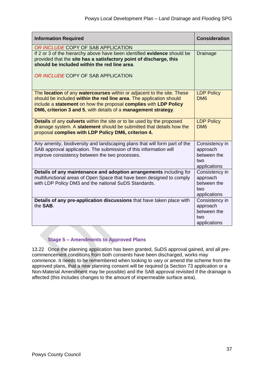| <b>Information Required</b>                                                                                                                                                                                                                                                         | <b>Consideration</b>                                             |
|-------------------------------------------------------------------------------------------------------------------------------------------------------------------------------------------------------------------------------------------------------------------------------------|------------------------------------------------------------------|
| OR INCLUDE COPY OF SAB APPLICATION<br>If 2 or 3 of the hierarchy above have been identified evidence should be<br>provided that the site has a satisfactory point of discharge, this<br>should be included within the red line area.<br>OR INCLUDE COPY OF SAB APPLICATION          | <b>Drainage</b>                                                  |
| The location of any watercourses within or adjacent to the site. These<br>should be included within the red line area. The application should<br>include a statement on how the proposal complies with LDP Policy<br>DM6, criterion 3 and 5, with details of a management strategy. | <b>LDP Policy</b><br>DM <sub>6</sub>                             |
| Details of any culverts within the site or to be used by the proposed<br>drainage system. A statement should be submitted that details how the<br>proposal complies with LDP Policy DM6, criterion 4.                                                                               | <b>LDP Policy</b><br>DM <sub>6</sub>                             |
| Any amenity, biodiversity and landscaping plans that will form part of the<br>SAB approval application. The submission of this information will<br>improve consistency between the two processes.                                                                                   | Consistency in<br>approach<br>between the<br>two<br>applications |
| Details of any maintenance and adoption arrangements including for<br>multifunctional areas of Open Space that have been designed to comply<br>with LDP Policy DM3 and the national SuDS Standards.                                                                                 | Consistency in<br>approach<br>between the<br>two<br>applications |
| Details of any pre-application discussions that have taken place with<br>the SAB.                                                                                                                                                                                                   | Consistency in<br>approach<br>between the<br>two<br>applications |

## **Stage 5 – Amendments to Approved Plans**

13.22 Once the planning application has been granted, SuDS approval gained, and all precommencement conditions from both consents have been discharged, works may commence. It needs to be remembered when looking to vary or amend the scheme from the approved plans, that a new planning consent will be required (a Section 73 application or a Non-Material Amendment may be possible) and the SAB approval revisited if the drainage is affected (this includes changes to the amount of impermeable surface area).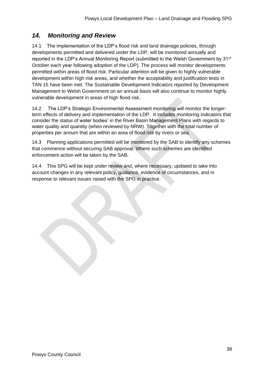# *14. Monitoring and Review*

14.1 The implementation of the LDP's flood risk and land drainage policies, through developments permitted and delivered under the LDP, will be monitored annually and reported in the LDP's Annual Monitoring Report (submitted to the Welsh Government by 31<sup>st</sup> October each year following adoption of the LDP). The process will monitor developments permitted within areas of flood risk. Particular attention will be given to highly vulnerable development within high risk areas, and whether the acceptability and justification tests in TAN 15 have been met. The Sustainable Development Indicators reported by Development Management to Welsh Government on an annual basis will also continue to monitor highly vulnerable development in areas of high flood risk.

14.2 The LDP's Strategic Environmental Assessment monitoring will monitor the longerterm effects of delivery and implementation of the LDP. It includes monitoring indicators that consider the status of water bodies' in the River Basin Management Plans with regards to water quality and quantity (when reviewed by NRW). Together with the total number of properties per annum that are within an area of flood risk by rivers or sea.

14.3 Planning applications permitted will be monitored by the SAB to identify any schemes that commence without securing SAB approval. Where such schemes are identified enforcement action will be taken by the SAB.

14.4 This SPG will be kept under review and, where necessary, updated to take into account changes in any relevant policy, guidance, evidence of circumstances, and in response to relevant issues raised with the SPG in practice.